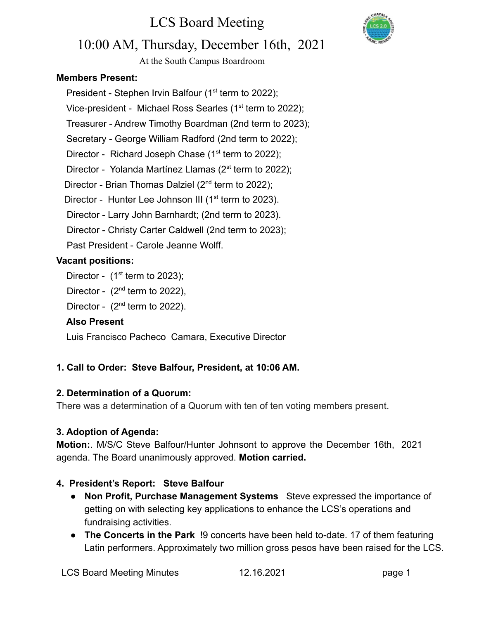

### 10:00 AM, Thursday, December 16th, 2021

At the South Campus Boardroom

#### **Members Present:**

President - Stephen Irvin Balfour ( $1<sup>st</sup>$  term to 2022); Vice-president - Michael Ross Searles (1<sup>st</sup> term to 2022); Treasurer - Andrew Timothy Boardman (2nd term to 2023);

Secretary - George William Radford (2nd term to 2022);

Director - Richard Joseph Chase  $(1<sup>st</sup>$  term to 2022);

Director - Yolanda Martínez Llamas ( $2^{st}$  term to 2022);

Director - Brian Thomas Dalziel (2<sup>nd</sup> term to 2022);

Director - Hunter Lee Johnson III ( $1<sup>st</sup>$  term to 2023).

Director - Larry John Barnhardt; (2nd term to 2023).

Director - Christy Carter Caldwell (2nd term to 2023);

Past President - Carole Jeanne Wolff.

#### **Vacant positions:**

Director -  $(1<sup>st</sup>$  term to 2023);

Director -  $(2^{nd}$  term to 2022),

Director -  $(2^{nd}$  term to 2022).

#### **Also Present**

Luis Francisco Pacheco Camara, Executive Director

#### **1. Call to Order: Steve Balfour, President, at 10:06 AM.**

#### **2. Determination of a Quorum:**

There was a determination of a Quorum with ten of ten voting members present.

#### **3. Adoption of Agenda:**

**Motion:**. M/S/C Steve Balfour/Hunter Johnsont to approve the December 16th, 2021 agenda. The Board unanimously approved. **Motion carried.**

#### **4. President's Report: Steve Balfour**

- **Non Profit, Purchase Management Systems** Steve expressed the importance of getting on with selecting key applications to enhance the LCS's operations and fundraising activities.
- **The Concerts in the Park** !9 concerts have been held to-date. 17 of them featuring Latin performers. Approximately two million gross pesos have been raised for the LCS.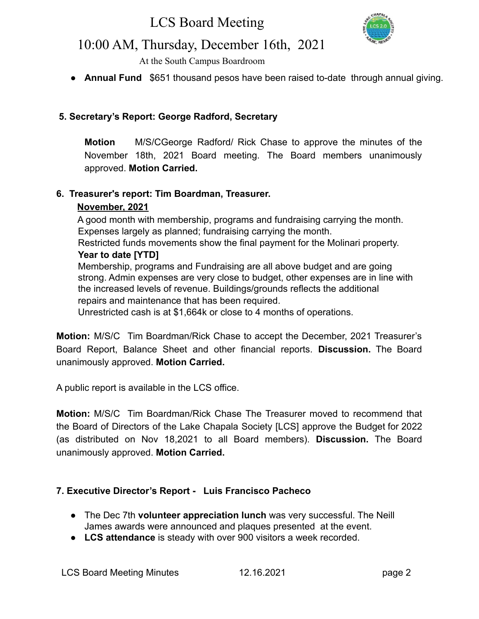

### 10:00 AM, Thursday, December 16th, 2021

At the South Campus Boardroom

● **Annual Fund** \$651 thousand pesos have been raised to-date through annual giving.

#### **5. Secretary's Report: George Radford, Secretary**

**Motion** M/S/CGeorge Radford/ Rick Chase to approve the minutes of the November 18th, 2021 Board meeting. The Board members unanimously approved. **Motion Carried.**

#### **6. Treasurer's report: Tim Boardman, Treasurer.**

#### **November, 2021**

A good month with membership, programs and fundraising carrying the month. Expenses largely as planned; fundraising carrying the month.

Restricted funds movements show the final payment for the Molinari property. **Year to date [YTD]**

Membership, programs and Fundraising are all above budget and are going strong. Admin expenses are very close to budget, other expenses are in line with the increased levels of revenue. Buildings/grounds reflects the additional repairs and maintenance that has been required.

Unrestricted cash is at \$1,664k or close to 4 months of operations.

**Motion:** M/S/C Tim Boardman/Rick Chase to accept the December, 2021 Treasurer's Board Report, Balance Sheet and other financial reports. **Discussion.** The Board unanimously approved. **Motion Carried.**

A public report is available in the LCS office.

**Motion:** M/S/C Tim Boardman/Rick Chase The Treasurer moved to recommend that the Board of Directors of the Lake Chapala Society [LCS] approve the Budget for 2022 (as distributed on Nov 18,2021 to all Board members). **Discussion.** The Board unanimously approved. **Motion Carried.**

#### **7. Executive Director's Report - Luis Francisco Pacheco**

- The Dec 7th **volunteer appreciation lunch** was very successful. The Neill James awards were announced and plaques presented at the event.
- **LCS attendance** is steady with over 900 visitors a week recorded.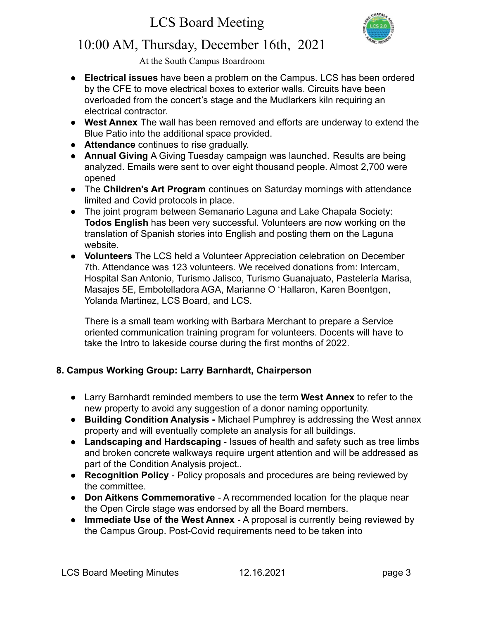

## 10:00 AM, Thursday, December 16th, 2021

At the South Campus Boardroom

- **Electrical issues** have been a problem on the Campus. LCS has been ordered by the CFE to move electrical boxes to exterior walls. Circuits have been overloaded from the concert's stage and the Mudlarkers kiln requiring an electrical contractor.
- **West Annex** The wall has been removed and efforts are underway to extend the Blue Patio into the additional space provided.
- **Attendance** continues to rise gradually.
- **Annual Giving** A Giving Tuesday campaign was launched. Results are being analyzed. Emails were sent to over eight thousand people. Almost 2,700 were opened
- The **Children's Art Program** continues on Saturday mornings with attendance limited and Covid protocols in place.
- The joint program between Semanario Laguna and Lake Chapala Society: **Todos English** has been very successful. Volunteers are now working on the translation of Spanish stories into English and posting them on the Laguna website.
- **Volunteers** The LCS held a Volunteer Appreciation celebration on December 7th. Attendance was 123 volunteers. We received donations from: Intercam, Hospital San Antonio, Turismo Jalisco, Turismo Guanajuato, Pastelería Marisa, Masajes 5E, Embotelladora AGA, Marianne O 'Hallaron, Karen Boentgen, Yolanda Martinez, LCS Board, and LCS.

There is a small team working with Barbara Merchant to prepare a Service oriented communication training program for volunteers. Docents will have to take the Intro to lakeside course during the first months of 2022.

#### **8. Campus Working Group: Larry Barnhardt, Chairperson**

- Larry Barnhardt reminded members to use the term **West Annex** to refer to the new property to avoid any suggestion of a donor naming opportunity.
- **Building Condition Analysis -** Michael Pumphrey is addressing the West annex property and will eventually complete an analysis for all buildings.
- **Landscaping and Hardscaping** Issues of health and safety such as tree limbs and broken concrete walkways require urgent attention and will be addressed as part of the Condition Analysis project..
- **Recognition Policy** Policy proposals and procedures are being reviewed by the committee.
- **Don Aitkens Commemorative** A recommended location for the plaque near the Open Circle stage was endorsed by all the Board members.
- **Immediate Use of the West Annex** A proposal is currently being reviewed by the Campus Group. Post-Covid requirements need to be taken into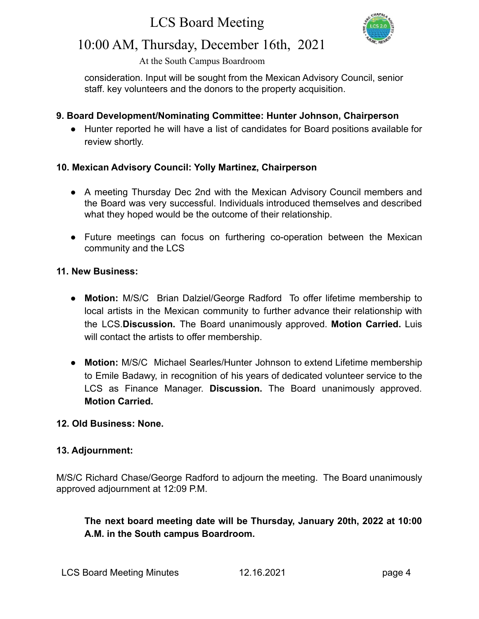

### 10:00 AM, Thursday, December 16th, 2021

At the South Campus Boardroom

consideration. Input will be sought from the Mexican Advisory Council, senior staff. key volunteers and the donors to the property acquisition.

#### **9. Board Development/Nominating Committee: Hunter Johnson, Chairperson**

**●** Hunter reported he will have a list of candidates for Board positions available for review shortly.

#### **10. Mexican Advisory Council: Yolly Martinez, Chairperson**

- A meeting Thursday Dec 2nd with the Mexican Advisory Council members and the Board was very successful. Individuals introduced themselves and described what they hoped would be the outcome of their relationship.
- Future meetings can focus on furthering co-operation between the Mexican community and the LCS

#### **11. New Business:**

- **● Motion:** M/S/C Brian Dalziel/George Radford To offer lifetime membership to local artists in the Mexican community to further advance their relationship with the LCS.**Discussion.** The Board unanimously approved. **Motion Carried.** Luis will contact the artists to offer membership.
- **● Motion:** M/S/C Michael Searles/Hunter Johnson to extend Lifetime membership to Emile Badawy, in recognition of his years of dedicated volunteer service to the LCS as Finance Manager. **Discussion.** The Board unanimously approved. **Motion Carried.**

#### **12. Old Business: None.**

#### **13. Adjournment:**

M/S/C Richard Chase/George Radford to adjourn the meeting. The Board unanimously approved adjournment at 12:09 P.M.

**The next board meeting date will be Thursday, January 20th, 2022 at 10:00 A.M. in the South campus Boardroom.**